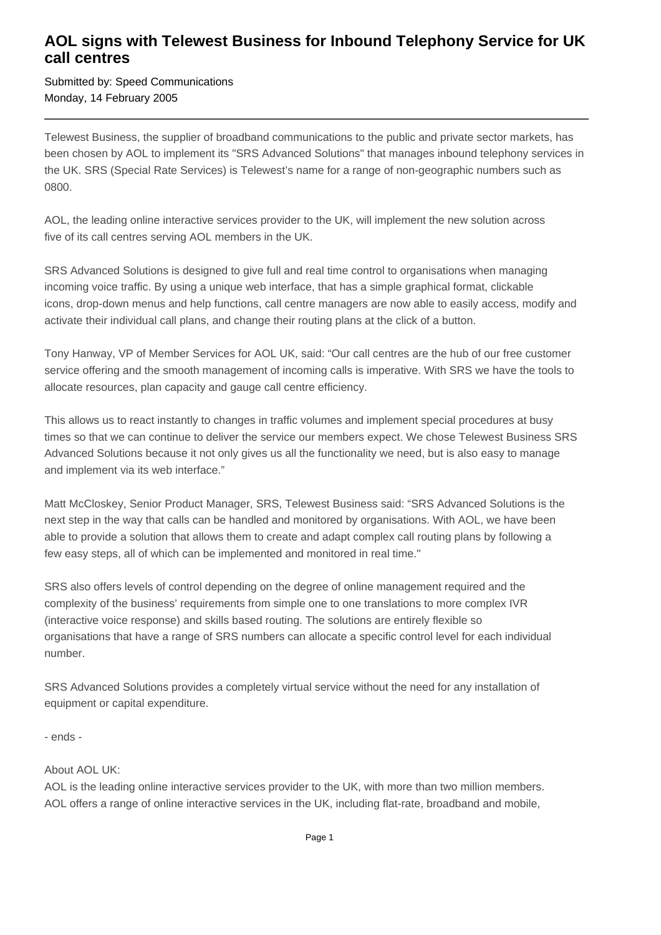## **AOL signs with Telewest Business for Inbound Telephony Service for UK call centres**

Submitted by: Speed Communications Monday, 14 February 2005

Telewest Business, the supplier of broadband communications to the public and private sector markets, has been chosen by AOL to implement its "SRS Advanced Solutions" that manages inbound telephony services in the UK. SRS (Special Rate Services) is Telewest's name for a range of non-geographic numbers such as 0800.

AOL, the leading online interactive services provider to the UK, will implement the new solution across five of its call centres serving AOL members in the UK.

SRS Advanced Solutions is designed to give full and real time control to organisations when managing incoming voice traffic. By using a unique web interface, that has a simple graphical format, clickable icons, drop-down menus and help functions, call centre managers are now able to easily access, modify and activate their individual call plans, and change their routing plans at the click of a button.

Tony Hanway, VP of Member Services for AOL UK, said: "Our call centres are the hub of our free customer service offering and the smooth management of incoming calls is imperative. With SRS we have the tools to allocate resources, plan capacity and gauge call centre efficiency.

This allows us to react instantly to changes in traffic volumes and implement special procedures at busy times so that we can continue to deliver the service our members expect. We chose Telewest Business SRS Advanced Solutions because it not only gives us all the functionality we need, but is also easy to manage and implement via its web interface."

Matt McCloskey, Senior Product Manager, SRS, Telewest Business said: "SRS Advanced Solutions is the next step in the way that calls can be handled and monitored by organisations. With AOL, we have been able to provide a solution that allows them to create and adapt complex call routing plans by following a few easy steps, all of which can be implemented and monitored in real time."

SRS also offers levels of control depending on the degree of online management required and the complexity of the business' requirements from simple one to one translations to more complex IVR (interactive voice response) and skills based routing. The solutions are entirely flexible so organisations that have a range of SRS numbers can allocate a specific control level for each individual number.

SRS Advanced Solutions provides a completely virtual service without the need for any installation of equipment or capital expenditure.

- ends -

## About AOL UK:

AOL is the leading online interactive services provider to the UK, with more than two million members. AOL offers a range of online interactive services in the UK, including flat-rate, broadband and mobile,